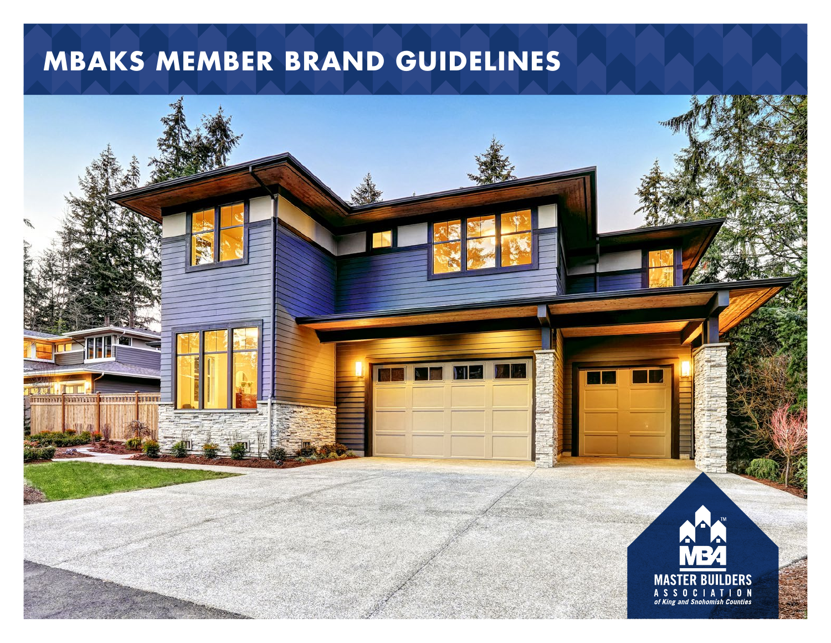# **MBAKS MEMBER BRAND GUIDELINES**

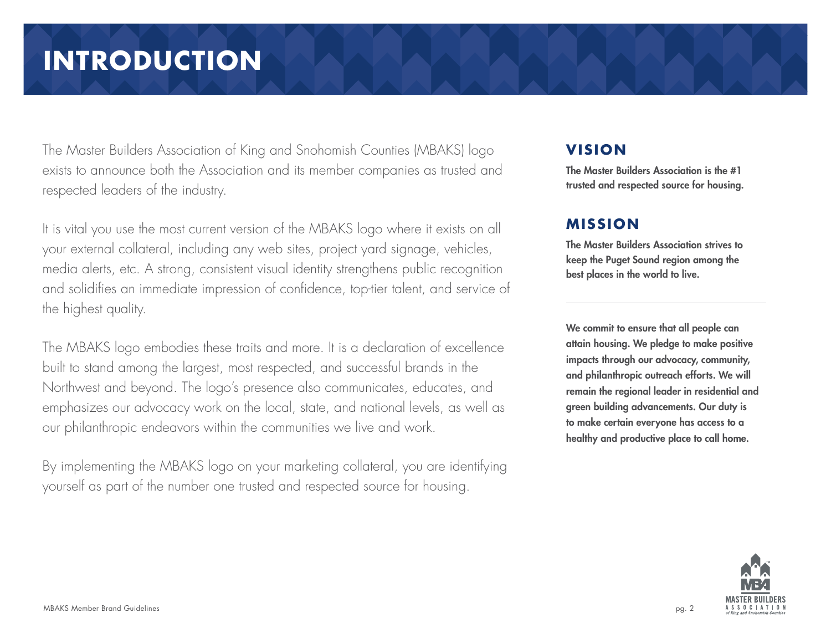# **INTRODUCTION**

The Master Builders Association of King and Snohomish Counties (MBAKS) logo exists to announce both the Association and its member companies as trusted and respected leaders of the industry.

It is vital you use the most current version of the MBAKS logo where it exists on all your external collateral, including any web sites, project yard signage, vehicles, media alerts, etc. A strong, consistent visual identity strengthens public recognition and solidifies an immediate impression of confidence, top-tier talent, and service of the highest quality.

The MBAKS logo embodies these traits and more. It is a declaration of excellence built to stand among the largest, most respected, and successful brands in the Northwest and beyond. The logo's presence also communicates, educates, and emphasizes our advocacy work on the local, state, and national levels, as well as our philanthropic endeavors within the communities we live and work.

By implementing the MBAKS logo on your marketing collateral, you are identifying yourself as part of the number one trusted and respected source for housing.

#### **VISION**

The Master Builders Association is the #1 trusted and respected source for housing.

#### **MISSION**

The Master Builders Association strives to keep the Puget Sound region among the best places in the world to live.

We commit to ensure that all people can attain housing. We pledge to make positive impacts through our advocacy, community, and philanthropic outreach efforts. We will remain the regional leader in residential and green building advancements. Our duty is to make certain everyone has access to a healthy and productive place to call home.

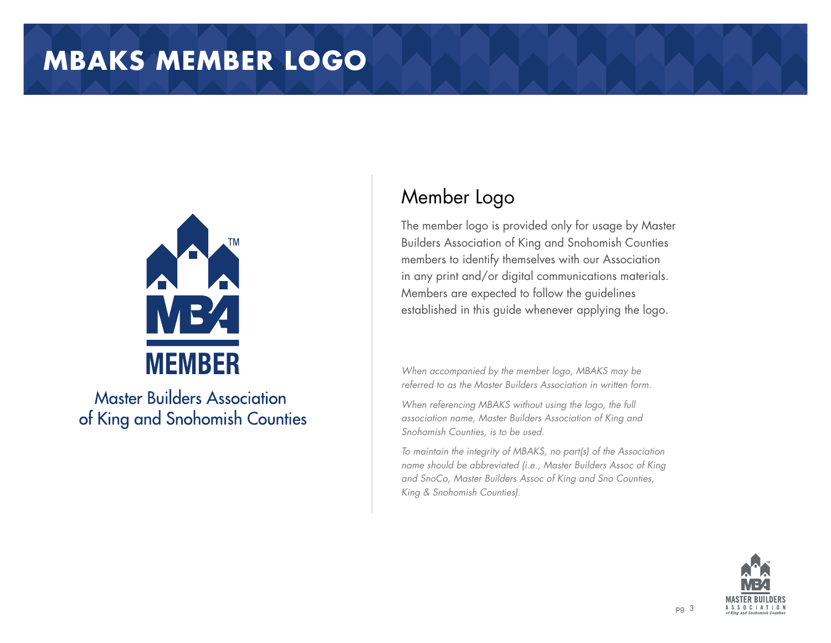### **MBAKS MEMBER LOGO**



**Master Builders Association** of King and Snohomish Counties

### Member Logo

The member logo is provided only for usage by Master Builders Association of King and Snohomish Counties members to identify themselves with our Association in any print and/or digital communications materials. Members are expected to follow the guidelines established in this guide whenever applying the logo.

*When accompanied by the member logo, MBAKS may be referred to as the Master Builders Association in written form.* 

*When referencing MBAKS without using the logo, the full association name, Master Builders Association of King and Snohomish Counties, is to be used.* 

*To maintain the integrity of MBAKS, no part(s) of the Association name should be abbreviated (i.e., Master Builders Assoc of King and SnoCo, Master Builders Assoc of King and Sno Counties, King & Snohomish Counties).*

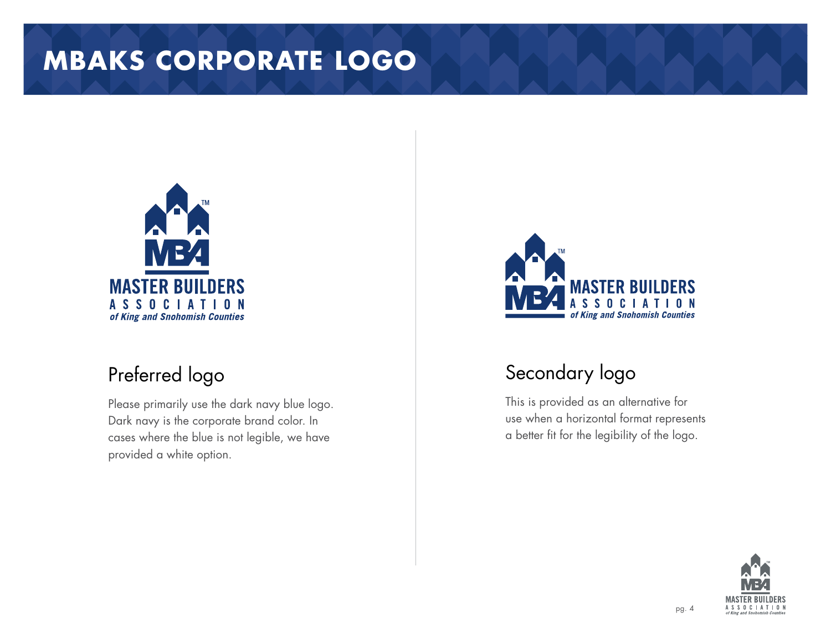# **MBAKS CORPORATE LOGO**



### Preferred logo

Please primarily use the dark navy blue logo. Dark navy is the corporate brand color. In cases where the blue is not legible, we have provided a white option.



### Secondary logo

This is provided as an alternative for use when a horizontal format represents a better fit for the legibility of the logo.

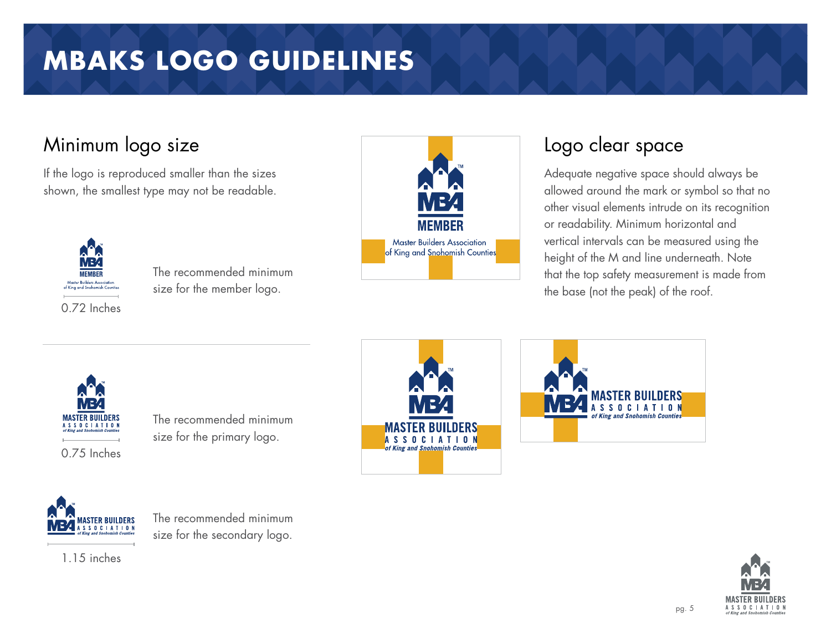# **MBAKS LOGO GUIDELINES**

### Minimum logo size

If the logo is reproduced smaller than the sizes shown, the smallest type may not be readable.



The recommended minimum size for the member logo.



### Logo clear space

Adequate negative space should always be allowed around the mark or symbol so that no other visual elements intrude on its recognition or readability. Minimum horizontal and vertical intervals can be measured using the height of the M and line underneath. Note that the top safety measurement is made from the base (not the peak) of the roof.



The recommended minimum size for the primary logo.







The recommended minimum size for the secondary logo.

1.15 inches

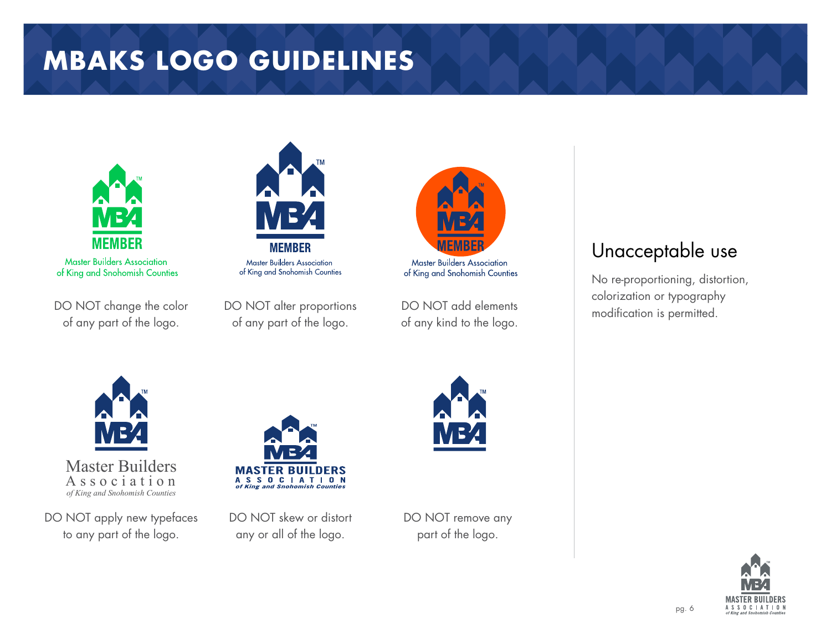# **MBAKS LOGO GUIDELINES**



**Master Builders Association** of King and Snohomish Counties

DO NOT change the color of any part of the logo.



**Master Builders Association** of King and Snohomish Counties

DO NOT alter proportions of any part of the logo.



DO NOT add elements of any kind to the logo.

### Unacceptable use

No re-proportioning, distortion, colorization or typography modification is permitted.



Master Builders Association *of King and Snohomish Counties*

DO NOT apply new typefaces to any part of the logo.



DO NOT skew or distort any or all of the logo.

DO NOT remove any part of the logo.



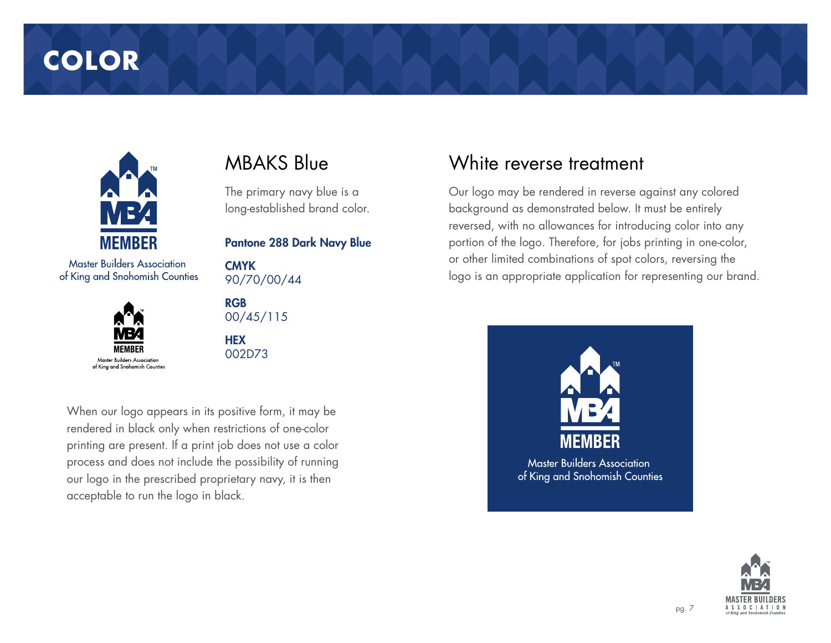## **COLOR**



**Master Builders Association** of King and Snohomish Counties



### MBAKS Blue

The primary navy blue is a long-established brand color.

Pantone 288 Dark Navy Blue

**CMYK** 90/70/00/44

RGB 00/45/115

**HEX** 002D73

When our logo appears in its positive form, it may be rendered in black only when restrictions of one-color printing are present. If a print job does not use a color process and does not include the possibility of running our logo in the prescribed proprietary navy, it is then acceptable to run the logo in black.

#### White reverse treatment

Our logo may be rendered in reverse against any colored background as demonstrated below. It must be entirely reversed, with no allowances for introducing color into any portion of the logo. Therefore, for jobs printing in one-color, or other limited combinations of spot colors, reversing the logo is an appropriate application for representing our brand.